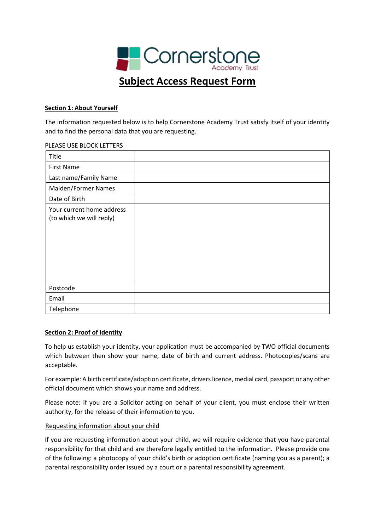

# **Section 1: About Yourself**

The information requested below is to help Cornerstone Academy Trust satisfy itself of your identity and to find the personal data that you are requesting.

#### PLEASE USE BLOCK LETTERS

| Title                                                 |  |
|-------------------------------------------------------|--|
| <b>First Name</b>                                     |  |
| Last name/Family Name                                 |  |
| Maiden/Former Names                                   |  |
| Date of Birth                                         |  |
| Your current home address<br>(to which we will reply) |  |
| Postcode                                              |  |
| Email                                                 |  |
| Telephone                                             |  |

### **Section 2: Proof of Identity**

To help us establish your identity, your application must be accompanied by TWO official documents which between then show your name, date of birth and current address. Photocopies/scans are acceptable.

For example: A birth certificate/adoption certificate, drivers licence, medial card, passport or any other official document which shows your name and address.

Please note: if you are a Solicitor acting on behalf of your client, you must enclose their written authority, for the release of their information to you.

### Requesting information about your child

If you are requesting information about your child, we will require evidence that you have parental responsibility for that child and are therefore legally entitled to the information. Please provide one of the following: a photocopy of your child's birth or adoption certificate (naming you as a parent); a parental responsibility order issued by a court or a parental responsibility agreement.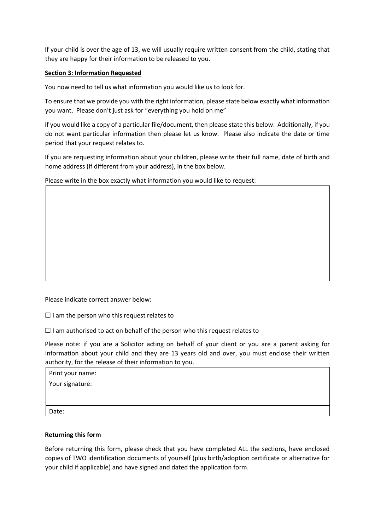If your child is over the age of 13, we will usually require written consent from the child, stating that they are happy for their information to be released to you.

# **Section 3: Information Requested**

You now need to tell us what information you would like us to look for.

To ensure that we provide you with the right information, please state below exactly what information you want. Please don't just ask for "everything you hold on me"

If you would like a copy of a particular file/document, then please state this below. Additionally, if you do not want particular information then please let us know. Please also indicate the date or time period that your request relates to.

If you are requesting information about your children, please write their full name, date of birth and home address (if different from your address), in the box below.

Please write in the box exactly what information you would like to request:

Please indicate correct answer below:

 $\Box$  I am the person who this request relates to

 $\Box$  I am authorised to act on behalf of the person who this request relates to

Please note: if you are a Solicitor acting on behalf of your client or you are a parent asking for information about your child and they are 13 years old and over, you must enclose their written authority, for the release of their information to you.

| Print your name: |  |
|------------------|--|
| Your signature:  |  |
|                  |  |
| Date:            |  |

### **Returning this form**

Before returning this form, please check that you have completed ALL the sections, have enclosed copies of TWO identification documents of yourself (plus birth/adoption certificate or alternative for your child if applicable) and have signed and dated the application form.